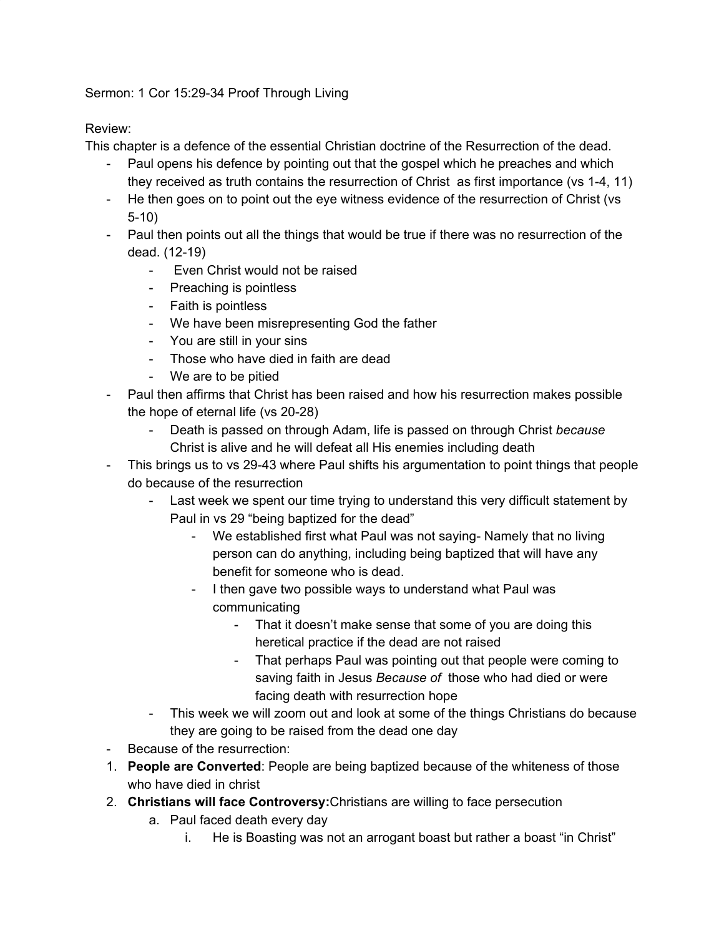## Sermon: 1 Cor 15:29-34 Proof Through Living

## Review:

This chapter is a defence of the essential Christian doctrine of the Resurrection of the dead.

- Paul opens his defence by pointing out that the gospel which he preaches and which they received as truth contains the resurrection of Christ as first importance (vs 1-4, 11)
- He then goes on to point out the eye witness evidence of the resurrection of Christ (vs 5-10)
- Paul then points out all the things that would be true if there was no resurrection of the dead. (12-19)
	- Even Christ would not be raised
	- Preaching is pointless
	- Faith is pointless
	- We have been misrepresenting God the father
	- You are still in your sins
	- Those who have died in faith are dead
	- We are to be pitied
- Paul then affirms that Christ has been raised and how his resurrection makes possible the hope of eternal life (vs 20-28)
	- Death is passed on through Adam, life is passed on through Christ *because* Christ is alive and he will defeat all His enemies including death
- This brings us to vs 29-43 where Paul shifts his argumentation to point things that people do because of the resurrection
	- Last week we spent our time trying to understand this very difficult statement by Paul in vs 29 "being baptized for the dead"
		- We established first what Paul was not saying- Namely that no living person can do anything, including being baptized that will have any benefit for someone who is dead.
		- I then gave two possible ways to understand what Paul was communicating
			- That it doesn't make sense that some of you are doing this heretical practice if the dead are not raised
			- That perhaps Paul was pointing out that people were coming to saving faith in Jesus *Because of* those who had died or were facing death with resurrection hope
	- This week we will zoom out and look at some of the things Christians do because they are going to be raised from the dead one day
- Because of the resurrection:
- 1. **People are Converted**: People are being baptized because of the whiteness of those who have died in christ
- 2. **Christians will face Controversy:**Christians are willing to face persecution
	- a. Paul faced death every day
		- i. He is Boasting was not an arrogant boast but rather a boast "in Christ"